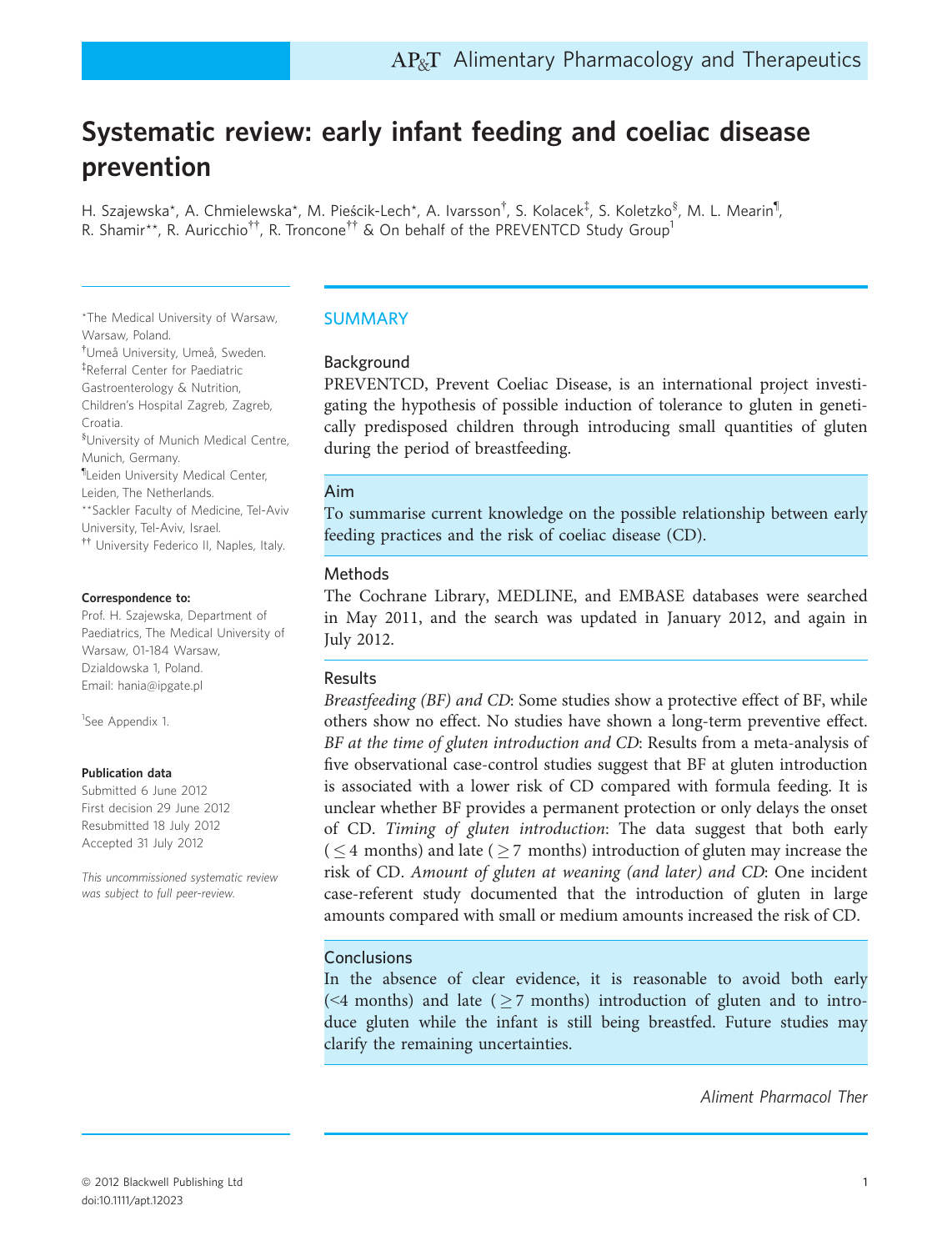# Systematic review: early infant feeding and coeliac disease prevention

H. Szajewska\*, A. Chmielewska\*, M. Pieścik-Lech\*, A. Ivarsson<sup>†</sup>, S. Kolacek<sup>‡</sup>, S. Koletzko<sup>§</sup>, M. L. Mearin<sup>¶</sup>, R. Shamir\*\*, R. Auricchio<sup>††</sup>, R. Troncone<sup>††</sup> & On behalf of the PREVENTCD Study Group<sup>1</sup>

\*The Medical University of Warsaw, Warsaw, Poland.

† Umeå University, Umeå, Sweden. ‡ Referral Center for Paediatric Gastroenterology & Nutrition, Children's Hospital Zagreb, Zagreb,

Croatia. § University of Munich Medical Centre,

Munich, Germany. ¶ Leiden University Medical Center,

Leiden, The Netherlands.

\*\*Sackler Faculty of Medicine, Tel-Aviv University, Tel-Aviv, Israel.

†† University Federico II, Naples, Italy.

#### Correspondence to:

Prof. H. Szajewska, Department of Paediatrics, The Medical University of Warsaw, 01-184 Warsaw, Dzialdowska 1, Poland. Email: hania@ipgate.pl

<sup>1</sup>See Appendix 1.

#### Publication data

Submitted 6 June 2012 First decision 29 June 2012 Resubmitted 18 July 2012 Accepted 31 July 2012

This uncommissioned systematic review was subject to full peer-review.

## SUMMARY

# Background

PREVENTCD, Prevent Coeliac Disease, is an international project investigating the hypothesis of possible induction of tolerance to gluten in genetically predisposed children through introducing small quantities of gluten during the period of breastfeeding.

## Aim

To summarise current knowledge on the possible relationship between early feeding practices and the risk of coeliac disease (CD).

# Methods

The Cochrane Library, MEDLINE, and EMBASE databases were searched in May 2011, and the search was updated in January 2012, and again in July 2012.

# Results

Breastfeeding (BF) and CD: Some studies show a protective effect of BF, while others show no effect. No studies have shown a long-term preventive effect. BF at the time of gluten introduction and CD: Results from a meta-analysis of five observational case-control studies suggest that BF at gluten introduction is associated with a lower risk of CD compared with formula feeding. It is unclear whether BF provides a permanent protection or only delays the onset of CD. Timing of gluten introduction: The data suggest that both early  $($   $\leq$  4 months) and late ( $\geq$  7 months) introduction of gluten may increase the risk of CD. Amount of gluten at weaning (and later) and CD: One incident case-referent study documented that the introduction of gluten in large amounts compared with small or medium amounts increased the risk of CD.

## **Conclusions**

In the absence of clear evidence, it is reasonable to avoid both early (<4 months) and late ( $\geq$  7 months) introduction of gluten and to introduce gluten while the infant is still being breastfed. Future studies may clarify the remaining uncertainties.

Aliment Pharmacol Ther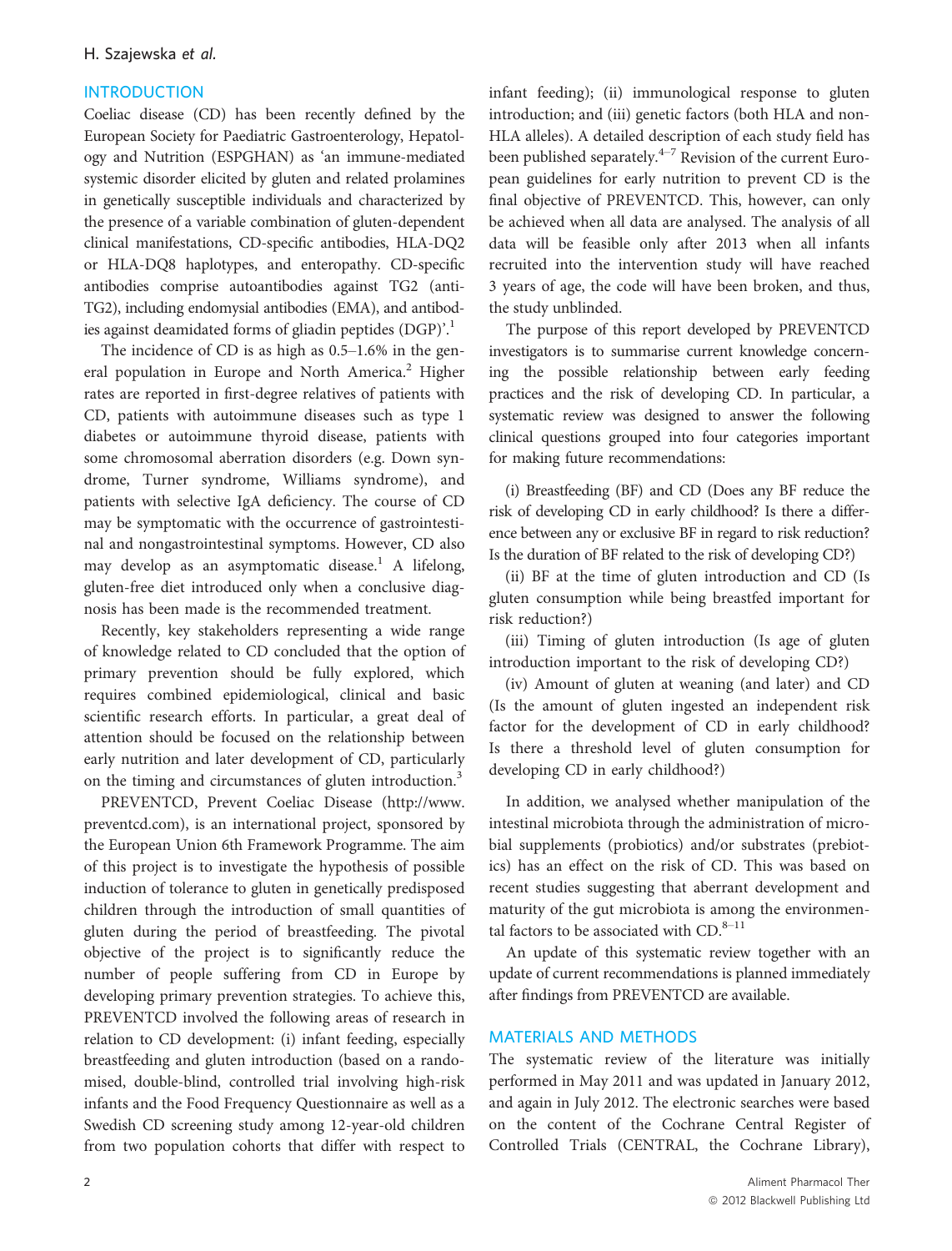## **INTRODUCTION**

Coeliac disease (CD) has been recently defined by the European Society for Paediatric Gastroenterology, Hepatology and Nutrition (ESPGHAN) as 'an immune-mediated systemic disorder elicited by gluten and related prolamines in genetically susceptible individuals and characterized by the presence of a variable combination of gluten-dependent clinical manifestations, CD-specific antibodies, HLA-DQ2 or HLA-DQ8 haplotypes, and enteropathy. CD-specific antibodies comprise autoantibodies against TG2 (anti-TG2), including endomysial antibodies (EMA), and antibodies against deamidated forms of gliadin peptides (DGP)'.<sup>1</sup>

The incidence of CD is as high as 0.5–1.6% in the general population in Europe and North America.<sup>2</sup> Higher rates are reported in first-degree relatives of patients with CD, patients with autoimmune diseases such as type 1 diabetes or autoimmune thyroid disease, patients with some chromosomal aberration disorders (e.g. Down syndrome, Turner syndrome, Williams syndrome), and patients with selective IgA deficiency. The course of CD may be symptomatic with the occurrence of gastrointestinal and nongastrointestinal symptoms. However, CD also may develop as an asymptomatic disease.<sup>1</sup> A lifelong, gluten-free diet introduced only when a conclusive diagnosis has been made is the recommended treatment.

Recently, key stakeholders representing a wide range of knowledge related to CD concluded that the option of primary prevention should be fully explored, which requires combined epidemiological, clinical and basic scientific research efforts. In particular, a great deal of attention should be focused on the relationship between early nutrition and later development of CD, particularly on the timing and circumstances of gluten introduction.<sup>3</sup>

PREVENTCD, Prevent Coeliac Disease (http://www. preventcd.com), is an international project, sponsored by the European Union 6th Framework Programme. The aim of this project is to investigate the hypothesis of possible induction of tolerance to gluten in genetically predisposed children through the introduction of small quantities of gluten during the period of breastfeeding. The pivotal objective of the project is to significantly reduce the number of people suffering from CD in Europe by developing primary prevention strategies. To achieve this, PREVENTCD involved the following areas of research in relation to CD development: (i) infant feeding, especially breastfeeding and gluten introduction (based on a randomised, double-blind, controlled trial involving high-risk infants and the Food Frequency Questionnaire as well as a Swedish CD screening study among 12-year-old children from two population cohorts that differ with respect to infant feeding); (ii) immunological response to gluten introduction; and (iii) genetic factors (both HLA and non-HLA alleles). A detailed description of each study field has been published separately. $4-7$  Revision of the current European guidelines for early nutrition to prevent CD is the final objective of PREVENTCD. This, however, can only be achieved when all data are analysed. The analysis of all data will be feasible only after 2013 when all infants recruited into the intervention study will have reached 3 years of age, the code will have been broken, and thus, the study unblinded.

The purpose of this report developed by PREVENTCD investigators is to summarise current knowledge concerning the possible relationship between early feeding practices and the risk of developing CD. In particular, a systematic review was designed to answer the following clinical questions grouped into four categories important for making future recommendations:

(i) Breastfeeding (BF) and CD (Does any BF reduce the risk of developing CD in early childhood? Is there a difference between any or exclusive BF in regard to risk reduction? Is the duration of BF related to the risk of developing CD?)

(ii) BF at the time of gluten introduction and CD (Is gluten consumption while being breastfed important for risk reduction?)

(iii) Timing of gluten introduction (Is age of gluten introduction important to the risk of developing CD?)

(iv) Amount of gluten at weaning (and later) and CD (Is the amount of gluten ingested an independent risk factor for the development of CD in early childhood? Is there a threshold level of gluten consumption for developing CD in early childhood?)

In addition, we analysed whether manipulation of the intestinal microbiota through the administration of microbial supplements (probiotics) and/or substrates (prebiotics) has an effect on the risk of CD. This was based on recent studies suggesting that aberrant development and maturity of the gut microbiota is among the environmental factors to be associated with  $CD.^{8-11}$ 

An update of this systematic review together with an update of current recommendations is planned immediately after findings from PREVENTCD are available.

#### MATERIALS AND METHODS

The systematic review of the literature was initially performed in May 2011 and was updated in January 2012, and again in July 2012. The electronic searches were based on the content of the Cochrane Central Register of Controlled Trials (CENTRAL, the Cochrane Library),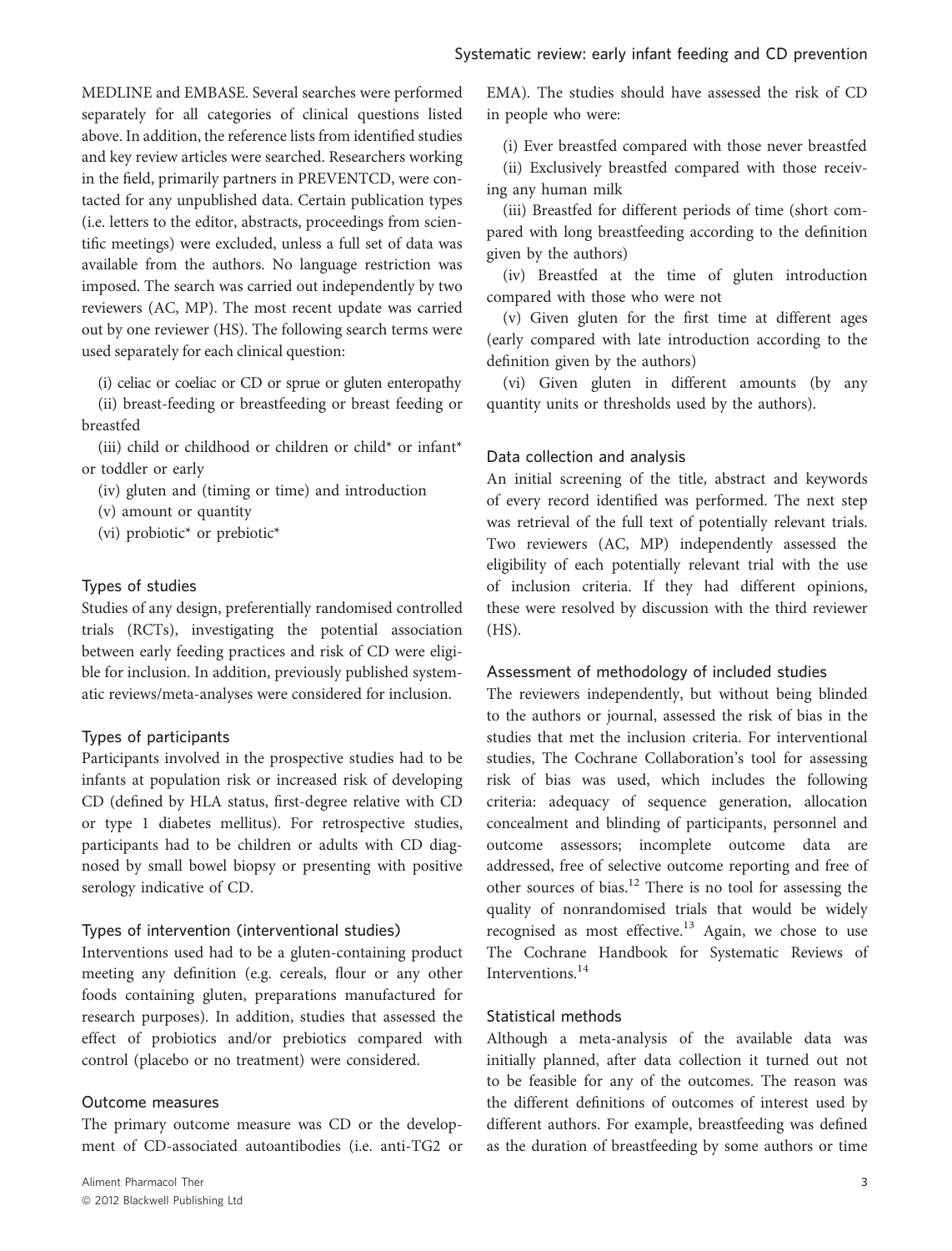MEDLINE and EMBASE. Several searches were performed separately for all categories of clinical questions listed above. In addition, the reference lists from identified studies and key review articles were searched. Researchers working in the field, primarily partners in PREVENTCD, were contacted for any unpublished data. Certain publication types (i.e. letters to the editor, abstracts, proceedings from scientific meetings) were excluded, unless a full set of data was available from the authors. No language restriction was imposed. The search was carried out independently by two reviewers (AC, MP). The most recent update was carried out by one reviewer (HS). The following search terms were used separately for each clinical question:

(i) celiac or coeliac or CD or sprue or gluten enteropathy

(ii) breast-feeding or breastfeeding or breast feeding or breastfed

(iii) child or childhood or children or child\* or infant\* or toddler or early

(iv) gluten and (timing or time) and introduction

(v) amount or quantity

(vi) probiotic\* or prebiotic\*

#### Types of studies

Studies of any design, preferentially randomised controlled trials (RCTs), investigating the potential association between early feeding practices and risk of CD were eligible for inclusion. In addition, previously published systematic reviews/meta-analyses were considered for inclusion.

## Types of participants

Participants involved in the prospective studies had to be infants at population risk or increased risk of developing CD (defined by HLA status, first-degree relative with CD or type 1 diabetes mellitus). For retrospective studies, participants had to be children or adults with CD diagnosed by small bowel biopsy or presenting with positive serology indicative of CD.

### Types of intervention (interventional studies)

Interventions used had to be a gluten-containing product meeting any definition (e.g. cereals, flour or any other foods containing gluten, preparations manufactured for research purposes). In addition, studies that assessed the effect of probiotics and/or prebiotics compared with control (placebo or no treatment) were considered.

#### Outcome measures

The primary outcome measure was CD or the development of CD-associated autoantibodies (i.e. anti-TG2 or

EMA). The studies should have assessed the risk of CD in people who were:

(i) Ever breastfed compared with those never breastfed

(ii) Exclusively breastfed compared with those receiving any human milk

(iii) Breastfed for different periods of time (short compared with long breastfeeding according to the definition given by the authors)

(iv) Breastfed at the time of gluten introduction compared with those who were not

(v) Given gluten for the first time at different ages (early compared with late introduction according to the definition given by the authors)

(vi) Given gluten in different amounts (by any quantity units or thresholds used by the authors).

## Data collection and analysis

An initial screening of the title, abstract and keywords of every record identified was performed. The next step was retrieval of the full text of potentially relevant trials. Two reviewers (AC, MP) independently assessed the eligibility of each potentially relevant trial with the use of inclusion criteria. If they had different opinions, these were resolved by discussion with the third reviewer (HS).

#### Assessment of methodology of included studies

The reviewers independently, but without being blinded to the authors or journal, assessed the risk of bias in the studies that met the inclusion criteria. For interventional studies, The Cochrane Collaboration's tool for assessing risk of bias was used, which includes the following criteria: adequacy of sequence generation, allocation concealment and blinding of participants, personnel and outcome assessors; incomplete outcome data are addressed, free of selective outcome reporting and free of other sources of bias.<sup>12</sup> There is no tool for assessing the quality of nonrandomised trials that would be widely recognised as most effective.<sup>13</sup> Again, we chose to use The Cochrane Handbook for Systematic Reviews of Interventions.<sup>14</sup>

## Statistical methods

Although a meta-analysis of the available data was initially planned, after data collection it turned out not to be feasible for any of the outcomes. The reason was the different definitions of outcomes of interest used by different authors. For example, breastfeeding was defined as the duration of breastfeeding by some authors or time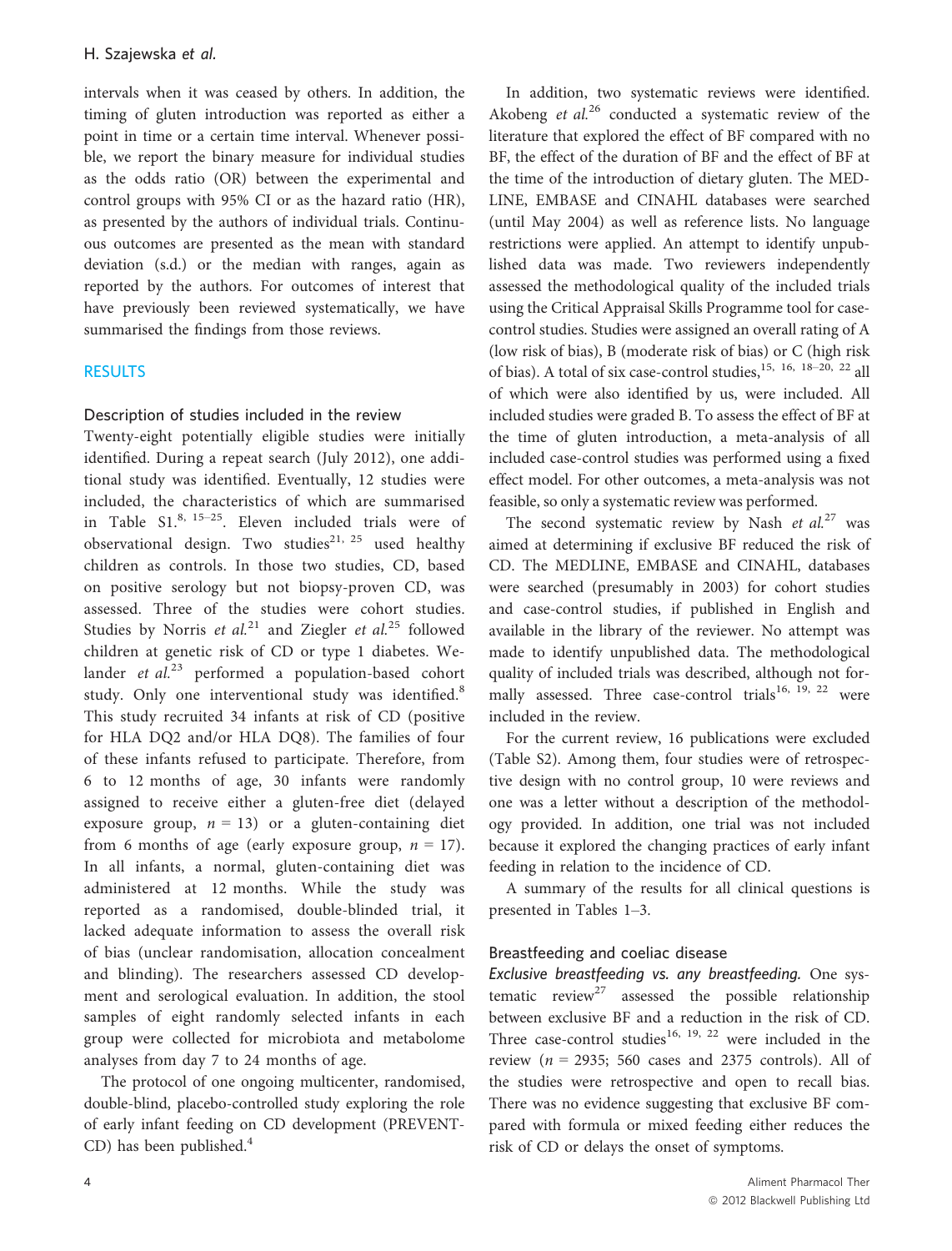intervals when it was ceased by others. In addition, the timing of gluten introduction was reported as either a point in time or a certain time interval. Whenever possible, we report the binary measure for individual studies as the odds ratio (OR) between the experimental and control groups with 95% CI or as the hazard ratio (HR), as presented by the authors of individual trials. Continuous outcomes are presented as the mean with standard deviation (s.d.) or the median with ranges, again as reported by the authors. For outcomes of interest that have previously been reviewed systematically, we have summarised the findings from those reviews.

# **RESULTS**

# Description of studies included in the review

Twenty-eight potentially eligible studies were initially identified. During a repeat search (July 2012), one additional study was identified. Eventually, 12 studies were included, the characteristics of which are summarised in Table  $S1$ .<sup>8, 15–25</sup>. Eleven included trials were of observational design. Two studies<sup>21, 25</sup> used healthy children as controls. In those two studies, CD, based on positive serology but not biopsy-proven CD, was assessed. Three of the studies were cohort studies. Studies by Norris et  $al$ <sup>21</sup> and Ziegler et  $al$ <sup>25</sup> followed children at genetic risk of CD or type 1 diabetes. Welander et  $al^{23}$  performed a population-based cohort study. Only one interventional study was identified.<sup>8</sup> This study recruited 34 infants at risk of CD (positive for HLA DQ2 and/or HLA DQ8). The families of four of these infants refused to participate. Therefore, from 6 to 12 months of age, 30 infants were randomly assigned to receive either a gluten-free diet (delayed exposure group,  $n = 13$ ) or a gluten-containing diet from 6 months of age (early exposure group,  $n = 17$ ). In all infants, a normal, gluten-containing diet was administered at 12 months. While the study was reported as a randomised, double-blinded trial, it lacked adequate information to assess the overall risk of bias (unclear randomisation, allocation concealment and blinding). The researchers assessed CD development and serological evaluation. In addition, the stool samples of eight randomly selected infants in each group were collected for microbiota and metabolome analyses from day 7 to 24 months of age.

The protocol of one ongoing multicenter, randomised, double-blind, placebo-controlled study exploring the role of early infant feeding on CD development (PREVENT-CD) has been published.<sup>4</sup>

In addition, two systematic reviews were identified. Akobeng *et al.*<sup>26</sup> conducted a systematic review of the literature that explored the effect of BF compared with no BF, the effect of the duration of BF and the effect of BF at the time of the introduction of dietary gluten. The MED-LINE, EMBASE and CINAHL databases were searched (until May 2004) as well as reference lists. No language restrictions were applied. An attempt to identify unpublished data was made. Two reviewers independently assessed the methodological quality of the included trials using the Critical Appraisal Skills Programme tool for casecontrol studies. Studies were assigned an overall rating of A (low risk of bias), B (moderate risk of bias) or C (high risk of bias). A total of six case-control studies,<sup>15, 16, 18–20, 22</sup> all of which were also identified by us, were included. All included studies were graded B. To assess the effect of BF at the time of gluten introduction, a meta-analysis of all included case-control studies was performed using a fixed effect model. For other outcomes, a meta-analysis was not feasible, so only a systematic review was performed.

The second systematic review by Nash et  $al.^{27}$  was aimed at determining if exclusive BF reduced the risk of CD. The MEDLINE, EMBASE and CINAHL, databases were searched (presumably in 2003) for cohort studies and case-control studies, if published in English and available in the library of the reviewer. No attempt was made to identify unpublished data. The methodological quality of included trials was described, although not formally assessed. Three case-control trials<sup>16, 19, 22</sup> were included in the review.

For the current review, 16 publications were excluded (Table S2). Among them, four studies were of retrospective design with no control group, 10 were reviews and one was a letter without a description of the methodology provided. In addition, one trial was not included because it explored the changing practices of early infant feeding in relation to the incidence of CD.

A summary of the results for all clinical questions is presented in Tables 1–3.

## Breastfeeding and coeliac disease

Exclusive breastfeeding vs. any breastfeeding. One systematic review<sup>27</sup> assessed the possible relationship between exclusive BF and a reduction in the risk of CD. Three case-control studies<sup>16, 19, 22</sup> were included in the review ( $n = 2935$ ; 560 cases and 2375 controls). All of the studies were retrospective and open to recall bias. There was no evidence suggesting that exclusive BF compared with formula or mixed feeding either reduces the risk of CD or delays the onset of symptoms.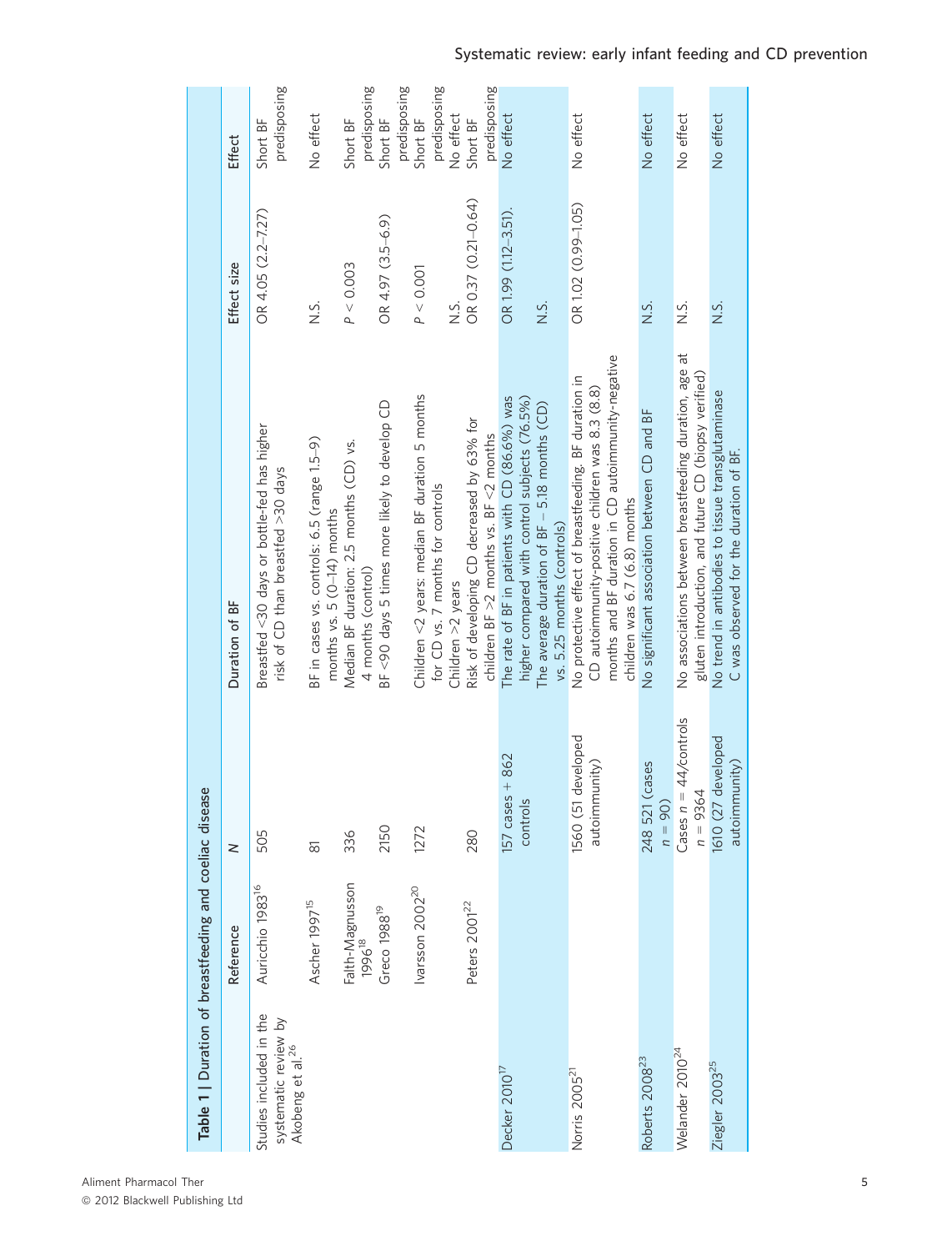| Table 1   Duration of breastfeeding and coeliac disease                         |                                       |                                        |                                                                                                                |                      |                          |
|---------------------------------------------------------------------------------|---------------------------------------|----------------------------------------|----------------------------------------------------------------------------------------------------------------|----------------------|--------------------------|
|                                                                                 | Reference                             | $\geq$                                 | Duration of BF                                                                                                 | Effect size          | Effect                   |
| Studies included in the<br>systematic review by<br>Akobeng et al. <sup>26</sup> | Auricchio 1983 <sup>16</sup>          | 505                                    | Breastfed <30 days or bottle-fed has higher<br>risk of CD than breastfed >30 days                              | OR 4.05 (2.2-7.27)   | predisposing<br>Short BF |
|                                                                                 | Ascher 1997 <sup>15</sup>             | 8                                      | BF in cases vs. controls: 6.5 (range 1.5-9)<br>months vs. 5 (0-14) months                                      | S.i                  | No effect                |
|                                                                                 | Falth-Magnusson<br>1996 <sup>18</sup> | 336                                    | Median BF duration: 2.5 months (CD) vs.<br>4 months (control)                                                  | P < 0.003            | predisposing<br>Short BF |
|                                                                                 | Greco 1988 <sup>19</sup>              | 2150                                   | BF <90 days 5 times more likely to develop CD                                                                  | OR 4.97 (3.5-6.9)    | Short BF                 |
|                                                                                 | Ivarsson 2002 <sup>20</sup>           | 1272                                   | Children <2 years: median BF duration 5 months                                                                 | P < 0.001            | predisposing<br>Short BF |
|                                                                                 |                                       |                                        | for CD vs. 7 months for controls                                                                               |                      | predisposing             |
|                                                                                 |                                       |                                        | Children >2 years                                                                                              | s.<br>Z              | No effect                |
|                                                                                 | Peters 2001 <sup>22</sup>             | 280                                    | Risk of developing CD decreased by 63% for                                                                     | OR 0.37 (0.21-0.64)  | Short BF                 |
|                                                                                 |                                       |                                        | children BF $>2$ months vs. BF <2 months                                                                       |                      | predisposing             |
| Decker 2010 <sup>17</sup>                                                       |                                       | $157 \text{ cases} + 862$              | The rate of BF in patients with CD (86.6%) was                                                                 | OR 1.99 (1.12-3.51). | No effect                |
|                                                                                 |                                       | controls                               | higher compared with control subjects (76.5%)                                                                  |                      |                          |
|                                                                                 |                                       |                                        | The average duration of BF - 5.18 months (CD)<br>vs. 5.25 months (controls)                                    | $\frac{5}{2}$        |                          |
| Norris 2005 <sup>21</sup>                                                       |                                       | developed<br>autoimmunity)<br>1560 (51 | No protective effect of breastfeeding. BF duration in<br>CD autoimmunity-positive children was 8.3 (8.8)       | OR 1.02 (0.99-1.05)  | No effect                |
|                                                                                 |                                       |                                        | months and BF duration in CD autoimmunity-negative<br>children was 6.7 (6.8) months                            |                      |                          |
| Roberts 2008 <sup>23</sup>                                                      |                                       | (cases)<br>248 521                     | No significant association between CD and BF                                                                   | S.<br>N.S.           | No effect                |
|                                                                                 |                                       | $n = 90$                               |                                                                                                                |                      |                          |
| Welander 2010 <sup>24</sup>                                                     |                                       | Cases $n = 44$ /controls<br>$n = 9364$ | No associations between breastfeeding duration, age at<br>gluten introduction, and future CD (biopsy verified) | s.<br>Z              | No effect                |
| Ziegler 2003 <sup>25</sup>                                                      |                                       | 1610 (27 developed<br>autoimmunity)    | No trend in antibodies to tissue transglutaminase<br>C was observed for the duration of BF.                    | $\frac{5}{2}$        | No effect                |
|                                                                                 |                                       |                                        |                                                                                                                |                      |                          |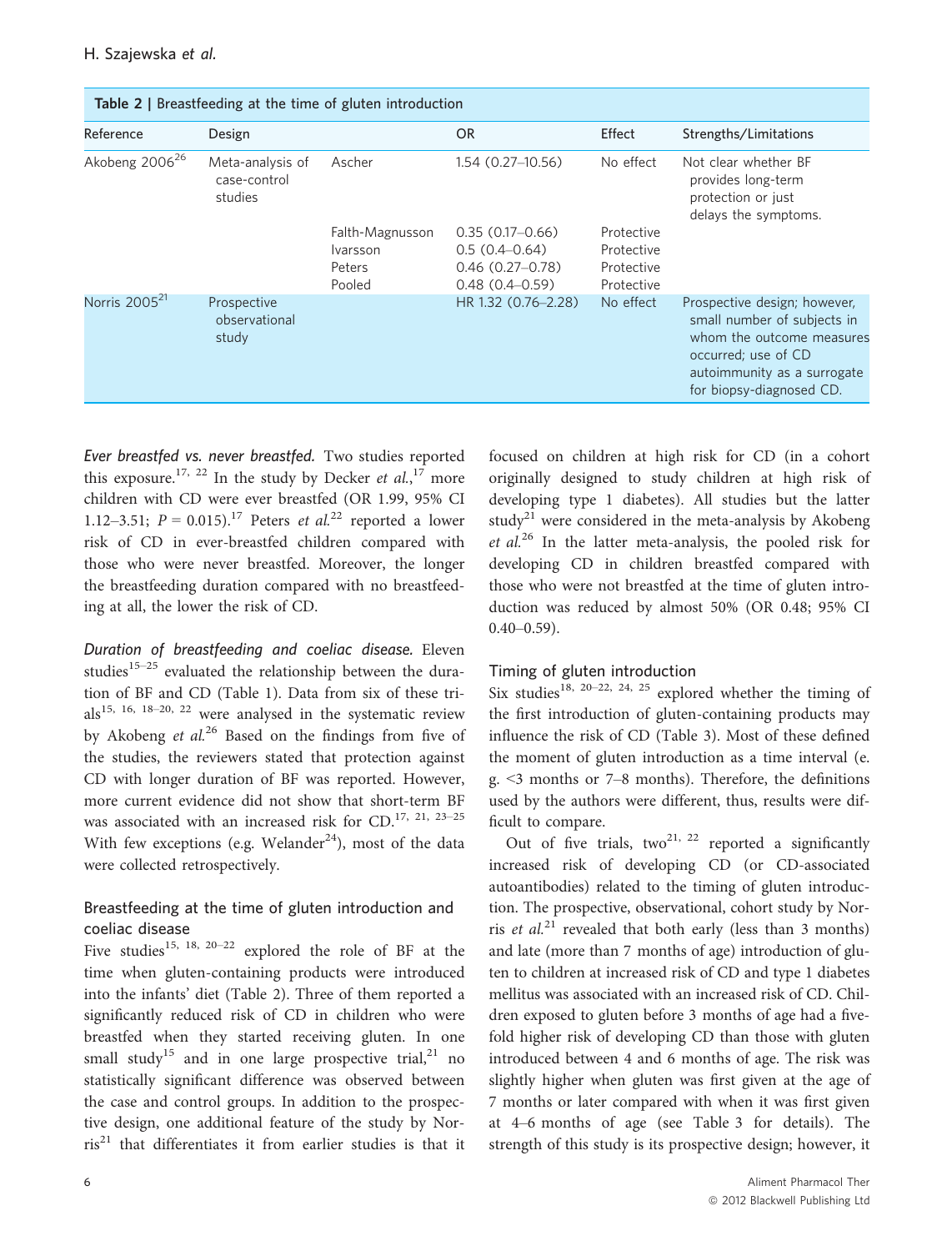| <b>Table 2</b>   Breastfeeding at the time of gluten introduction |                                             |                                                       |                                                                                   |                                                      |                                                                                                                                                                            |
|-------------------------------------------------------------------|---------------------------------------------|-------------------------------------------------------|-----------------------------------------------------------------------------------|------------------------------------------------------|----------------------------------------------------------------------------------------------------------------------------------------------------------------------------|
| Reference                                                         | Design                                      |                                                       | <b>OR</b>                                                                         | Effect                                               | Strengths/Limitations                                                                                                                                                      |
| Akobeng 2006 <sup>26</sup>                                        | Meta-analysis of<br>case-control<br>studies | Ascher                                                | $1.54(0.27-10.56)$                                                                | No effect                                            | Not clear whether BF<br>provides long-term<br>protection or just<br>delays the symptoms.                                                                                   |
|                                                                   |                                             | Falth-Magnusson<br><i>varsson</i><br>Peters<br>Pooled | $0.35(0.17-0.66)$<br>$0.5(0.4 - 0.64)$<br>$0.46(0.27-0.78)$<br>$0.48(0.4 - 0.59)$ | Protective<br>Protective<br>Protective<br>Protective |                                                                                                                                                                            |
| Norris 2005 <sup>21</sup>                                         | Prospective<br>observational<br>study       |                                                       | HR 1.32 (0.76-2.28)                                                               | No effect                                            | Prospective design; however,<br>small number of subjects in<br>whom the outcome measures<br>occurred; use of CD<br>autoimmunity as a surrogate<br>for biopsy-diagnosed CD. |

Ever breastfed vs. never breastfed. Two studies reported this exposure.<sup>17, 22</sup> In the study by Decker et  $al$ ,<sup>17</sup> more children with CD were ever breastfed (OR 1.99, 95% CI 1.12–3.51;  $P = 0.015$ .<sup>17</sup> Peters *et al.*<sup>22</sup> reported a lower risk of CD in ever-breastfed children compared with those who were never breastfed. Moreover, the longer the breastfeeding duration compared with no breastfeeding at all, the lower the risk of CD.

Duration of breastfeeding and coeliac disease. Eleven studies<sup>15–25</sup> evaluated the relationship between the duration of BF and CD (Table 1). Data from six of these trials<sup>15, 16, 18–20, 22</sup> were analysed in the systematic review by Akobeng et  $al^{26}$  Based on the findings from five of the studies, the reviewers stated that protection against CD with longer duration of BF was reported. However, more current evidence did not show that short-term BF was associated with an increased risk for CD.<sup>17, 21, 23-25</sup> With few exceptions (e.g. Welander<sup>24</sup>), most of the data were collected retrospectively.

# Breastfeeding at the time of gluten introduction and coeliac disease

Five studies<sup>15, 18, 20–22</sup> explored the role of BF at the time when gluten-containing products were introduced into the infants' diet (Table 2). Three of them reported a significantly reduced risk of CD in children who were breastfed when they started receiving gluten. In one small study<sup>15</sup> and in one large prospective trial,<sup>21</sup> no statistically significant difference was observed between the case and control groups. In addition to the prospective design, one additional feature of the study by Norris<sup>21</sup> that differentiates it from earlier studies is that it focused on children at high risk for CD (in a cohort originally designed to study children at high risk of developing type 1 diabetes). All studies but the latter study<sup>21</sup> were considered in the meta-analysis by Akobeng et  $al^{26}$  In the latter meta-analysis, the pooled risk for developing CD in children breastfed compared with those who were not breastfed at the time of gluten introduction was reduced by almost 50% (OR 0.48; 95% CI  $0.40 - 0.59$ ).

## Timing of gluten introduction

Six studies<sup>18, 20–22, 24, 25</sup> explored whether the timing of the first introduction of gluten-containing products may influence the risk of CD (Table 3). Most of these defined the moment of gluten introduction as a time interval (e. g. <3 months or 7–8 months). Therefore, the definitions used by the authors were different, thus, results were difficult to compare.

Out of five trials, two<sup>21, 22</sup> reported a significantly increased risk of developing CD (or CD-associated autoantibodies) related to the timing of gluten introduction. The prospective, observational, cohort study by Norris et al. $^{21}$  revealed that both early (less than 3 months) and late (more than 7 months of age) introduction of gluten to children at increased risk of CD and type 1 diabetes mellitus was associated with an increased risk of CD. Children exposed to gluten before 3 months of age had a fivefold higher risk of developing CD than those with gluten introduced between 4 and 6 months of age. The risk was slightly higher when gluten was first given at the age of 7 months or later compared with when it was first given at 4–6 months of age (see Table 3 for details). The strength of this study is its prospective design; however, it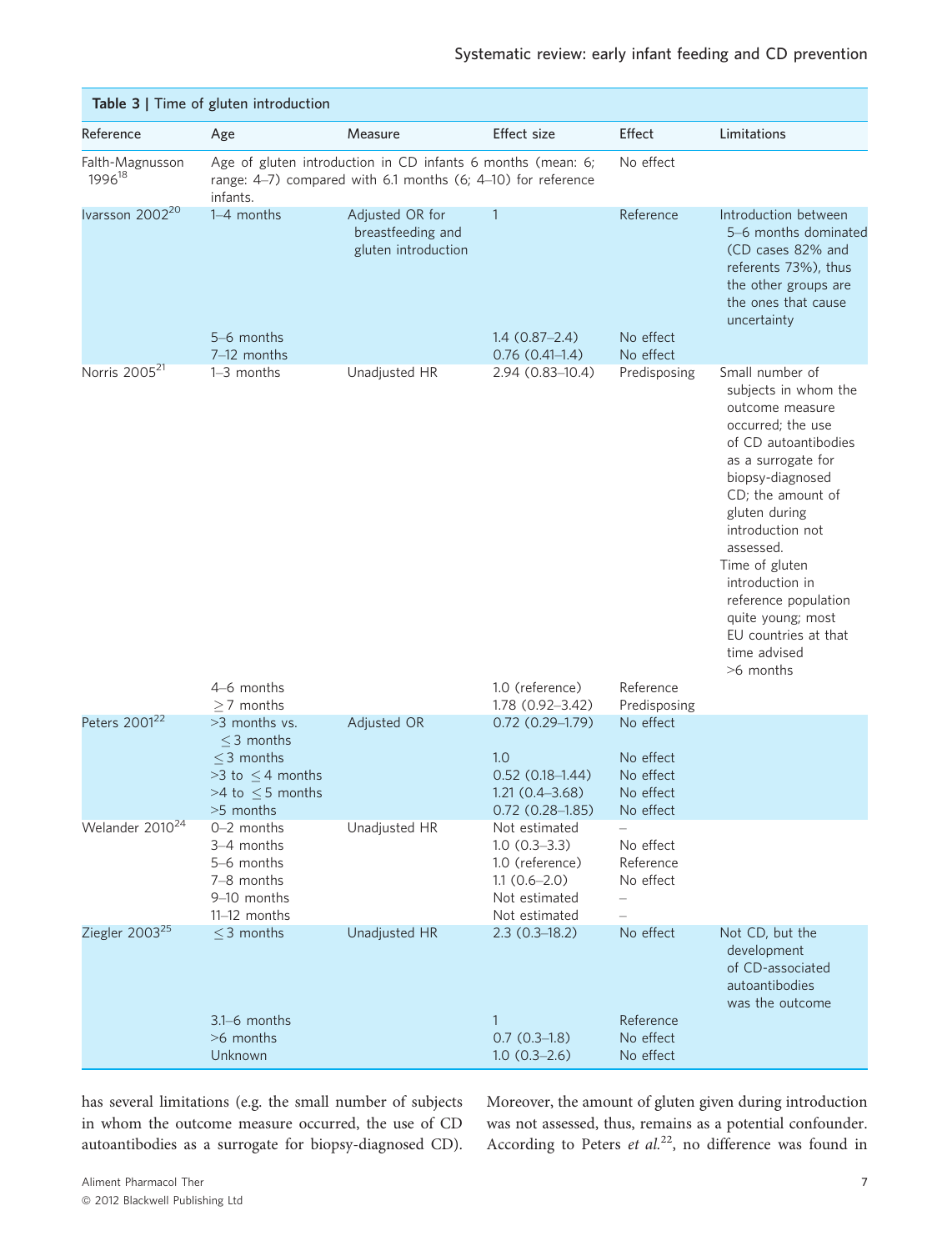|                                       | Table 3   Time of gluten introduction                                                                            |                                                                                                                             |                                                                                                        |                                                               |                                                                                                                                                                                                                                                                                                                                                                 |
|---------------------------------------|------------------------------------------------------------------------------------------------------------------|-----------------------------------------------------------------------------------------------------------------------------|--------------------------------------------------------------------------------------------------------|---------------------------------------------------------------|-----------------------------------------------------------------------------------------------------------------------------------------------------------------------------------------------------------------------------------------------------------------------------------------------------------------------------------------------------------------|
| Reference                             | Age                                                                                                              | Measure                                                                                                                     | Effect size                                                                                            | Effect                                                        | Limitations                                                                                                                                                                                                                                                                                                                                                     |
| Falth-Magnusson<br>1996 <sup>18</sup> | infants.                                                                                                         | Age of gluten introduction in CD infants 6 months (mean: 6;<br>range: 4-7) compared with 6.1 months (6; 4-10) for reference |                                                                                                        | No effect                                                     |                                                                                                                                                                                                                                                                                                                                                                 |
| Ivarsson 2002 <sup>20</sup>           | 1-4 months                                                                                                       | Adjusted OR for<br>breastfeeding and<br>gluten introduction                                                                 | 1                                                                                                      | Reference                                                     | Introduction between<br>5-6 months dominated<br>(CD cases 82% and<br>referents 73%), thus<br>the other groups are<br>the ones that cause<br>uncertainty                                                                                                                                                                                                         |
|                                       | 5-6 months<br>7-12 months                                                                                        |                                                                                                                             | $1.4(0.87-2.4)$<br>$0.76(0.41-1.4)$                                                                    | No effect<br>No effect                                        |                                                                                                                                                                                                                                                                                                                                                                 |
| Norris 2005 <sup>21</sup>             | $1-3$ months                                                                                                     | Unadjusted HR                                                                                                               | 2.94 (0.83-10.4)                                                                                       | Predisposing                                                  | Small number of<br>subjects in whom the<br>outcome measure<br>occurred; the use<br>of CD autoantibodies<br>as a surrogate for<br>biopsy-diagnosed<br>CD; the amount of<br>gluten during<br>introduction not<br>assessed.<br>Time of gluten<br>introduction in<br>reference population<br>quite young; most<br>EU countries at that<br>time advised<br>>6 months |
|                                       | 4-6 months<br>$\geq$ 7 months                                                                                    |                                                                                                                             | 1.0 (reference)<br>1.78 (0.92-3.42)                                                                    | Reference<br>Predisposing                                     |                                                                                                                                                                                                                                                                                                                                                                 |
| Peters 2001 <sup>22</sup>             | >3 months vs.<br>$<$ 3 months<br>$\leq$ 3 months<br>>3 to $\leq$ 4 months<br>$>4$ to $<$ 5 months<br>$>5$ months | Adjusted OR                                                                                                                 | $0.72(0.29-1.79)$<br>1.0<br>$0.52(0.18-1.44)$<br>$1.21(0.4 - 3.68)$<br>$0.72(0.28-1.85)$               | No effect<br>No effect<br>No effect<br>No effect<br>No effect |                                                                                                                                                                                                                                                                                                                                                                 |
| Welander 2010 <sup>24</sup>           | 0-2 months<br>3-4 months<br>5-6 months<br>7-8 months<br>9-10 months<br>11-12 months                              | Unadjusted HR                                                                                                               | Not estimated<br>$1.0(0.3-3.3)$<br>1.0 (reference)<br>$1.1(0.6-2.0)$<br>Not estimated<br>Not estimated | No effect<br>Reference<br>No effect                           |                                                                                                                                                                                                                                                                                                                                                                 |
| Ziegler 2003 <sup>25</sup>            | $<$ 3 months                                                                                                     | Unadjusted HR                                                                                                               | $2.3(0.3-18.2)$                                                                                        | No effect                                                     | Not CD, but the<br>development<br>of CD-associated<br>autoantibodies<br>was the outcome                                                                                                                                                                                                                                                                         |
|                                       | 3.1-6 months<br>>6 months<br>Unknown                                                                             |                                                                                                                             | 1<br>$0.7(0.3-1.8)$<br>$1.0(0.3-2.6)$                                                                  | Reference<br>No effect<br>No effect                           |                                                                                                                                                                                                                                                                                                                                                                 |

has several limitations (e.g. the small number of subjects in whom the outcome measure occurred, the use of CD autoantibodies as a surrogate for biopsy-diagnosed CD).

Moreover, the amount of gluten given during introduction was not assessed, thus, remains as a potential confounder. According to Peters et  $al$ .<sup>22</sup>, no difference was found in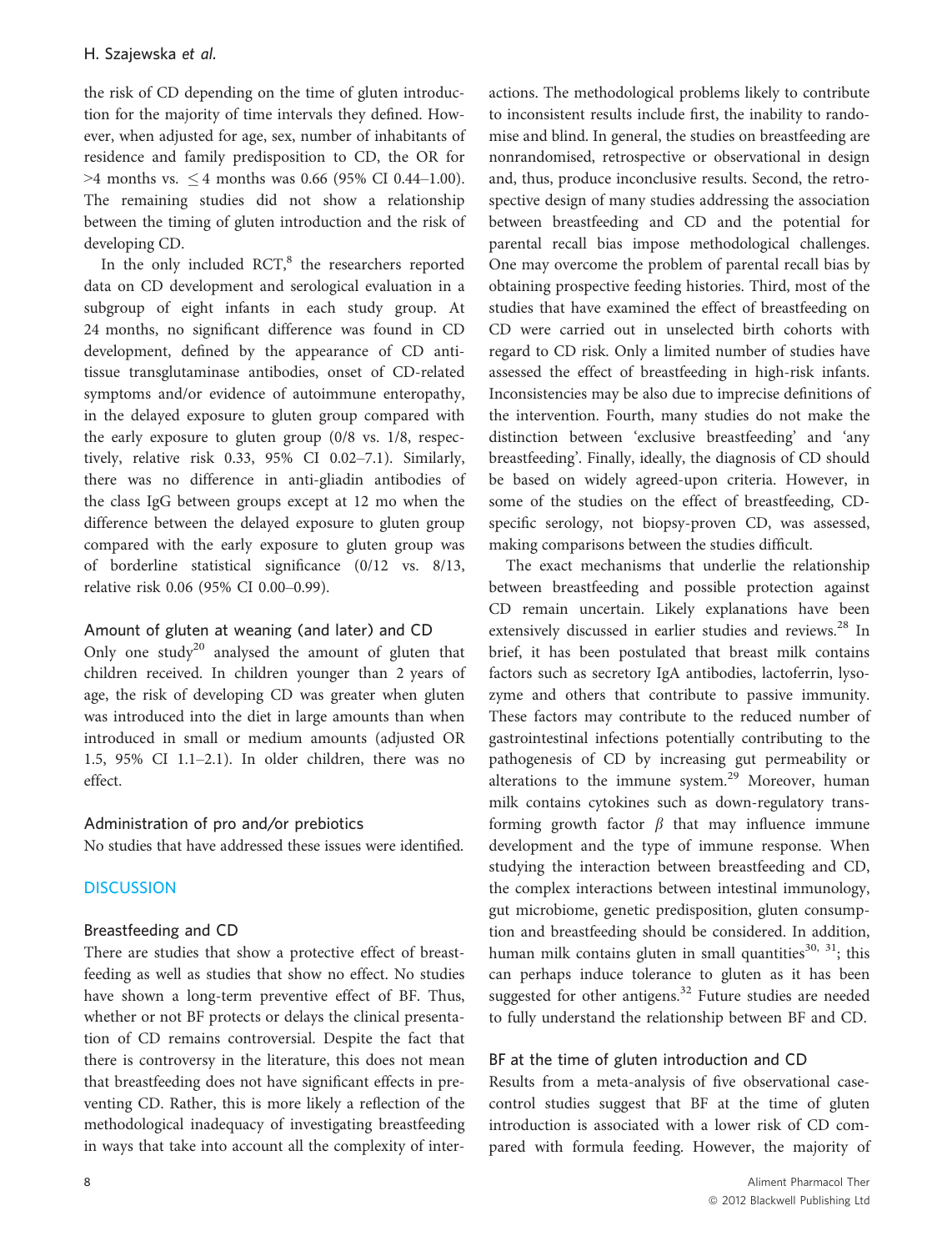the risk of CD depending on the time of gluten introduction for the majority of time intervals they defined. However, when adjusted for age, sex, number of inhabitants of residence and family predisposition to CD, the OR for  $>4$  months vs.  $\leq 4$  months was 0.66 (95% CI 0.44–1.00). The remaining studies did not show a relationship between the timing of gluten introduction and the risk of developing CD.

In the only included  $RCT<sub>1</sub><sup>8</sup>$  the researchers reported data on CD development and serological evaluation in a subgroup of eight infants in each study group. At 24 months, no significant difference was found in CD development, defined by the appearance of CD antitissue transglutaminase antibodies, onset of CD-related symptoms and/or evidence of autoimmune enteropathy, in the delayed exposure to gluten group compared with the early exposure to gluten group (0/8 vs. 1/8, respectively, relative risk 0.33, 95% CI 0.02–7.1). Similarly, there was no difference in anti-gliadin antibodies of the class IgG between groups except at 12 mo when the difference between the delayed exposure to gluten group compared with the early exposure to gluten group was of borderline statistical significance (0/12 vs. 8/13, relative risk 0.06 (95% CI 0.00–0.99).

## Amount of gluten at weaning (and later) and CD

Only one study<sup>20</sup> analysed the amount of gluten that children received. In children younger than 2 years of age, the risk of developing CD was greater when gluten was introduced into the diet in large amounts than when introduced in small or medium amounts (adjusted OR 1.5, 95% CI 1.1–2.1). In older children, there was no effect.

## Administration of pro and/or prebiotics

No studies that have addressed these issues were identified.

## **DISCUSSION**

## Breastfeeding and CD

There are studies that show a protective effect of breastfeeding as well as studies that show no effect. No studies have shown a long-term preventive effect of BF. Thus, whether or not BF protects or delays the clinical presentation of CD remains controversial. Despite the fact that there is controversy in the literature, this does not mean that breastfeeding does not have significant effects in preventing CD. Rather, this is more likely a reflection of the methodological inadequacy of investigating breastfeeding in ways that take into account all the complexity of interactions. The methodological problems likely to contribute to inconsistent results include first, the inability to randomise and blind. In general, the studies on breastfeeding are nonrandomised, retrospective or observational in design and, thus, produce inconclusive results. Second, the retrospective design of many studies addressing the association between breastfeeding and CD and the potential for parental recall bias impose methodological challenges. One may overcome the problem of parental recall bias by obtaining prospective feeding histories. Third, most of the studies that have examined the effect of breastfeeding on CD were carried out in unselected birth cohorts with regard to CD risk. Only a limited number of studies have assessed the effect of breastfeeding in high-risk infants. Inconsistencies may be also due to imprecise definitions of the intervention. Fourth, many studies do not make the distinction between 'exclusive breastfeeding' and 'any breastfeeding'. Finally, ideally, the diagnosis of CD should be based on widely agreed-upon criteria. However, in some of the studies on the effect of breastfeeding, CDspecific serology, not biopsy-proven CD, was assessed, making comparisons between the studies difficult.

The exact mechanisms that underlie the relationship between breastfeeding and possible protection against CD remain uncertain. Likely explanations have been extensively discussed in earlier studies and reviews.<sup>28</sup> In brief, it has been postulated that breast milk contains factors such as secretory IgA antibodies, lactoferrin, lysozyme and others that contribute to passive immunity. These factors may contribute to the reduced number of gastrointestinal infections potentially contributing to the pathogenesis of CD by increasing gut permeability or alterations to the immune system.<sup>29</sup> Moreover, human milk contains cytokines such as down-regulatory transforming growth factor  $\beta$  that may influence immune development and the type of immune response. When studying the interaction between breastfeeding and CD, the complex interactions between intestinal immunology, gut microbiome, genetic predisposition, gluten consumption and breastfeeding should be considered. In addition, human milk contains gluten in small quantities<sup>30, 31</sup>; this can perhaps induce tolerance to gluten as it has been suggested for other antigens.<sup>32</sup> Future studies are needed to fully understand the relationship between BF and CD.

## BF at the time of gluten introduction and CD

Results from a meta-analysis of five observational casecontrol studies suggest that BF at the time of gluten introduction is associated with a lower risk of CD compared with formula feeding. However, the majority of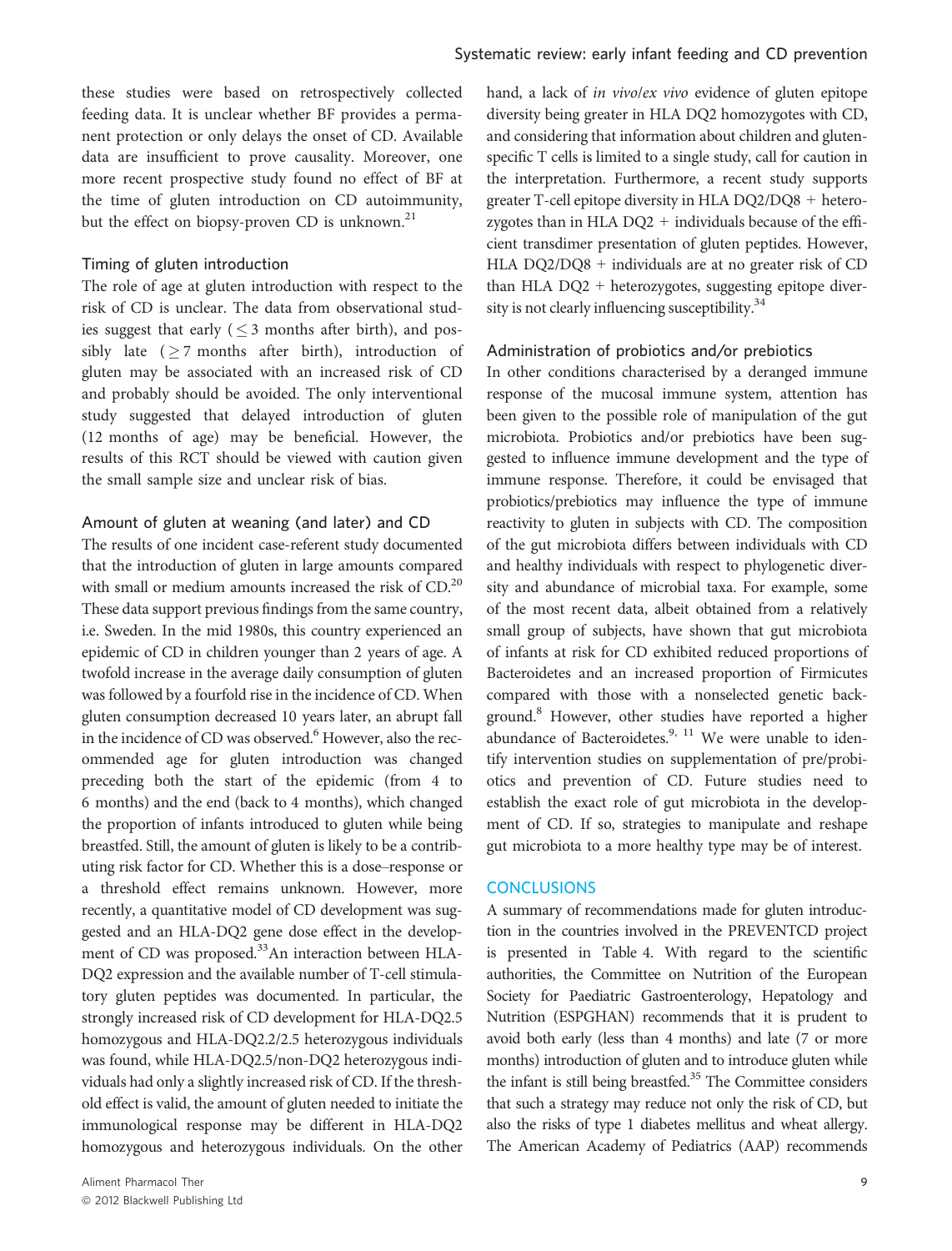these studies were based on retrospectively collected feeding data. It is unclear whether BF provides a permanent protection or only delays the onset of CD. Available data are insufficient to prove causality. Moreover, one more recent prospective study found no effect of BF at the time of gluten introduction on CD autoimmunity, but the effect on biopsy-proven CD is unknown.<sup>21</sup>

## Timing of gluten introduction

The role of age at gluten introduction with respect to the risk of CD is unclear. The data from observational studies suggest that early ( $\leq$  3 months after birth), and possibly late ( $\geq$ 7 months after birth), introduction of gluten may be associated with an increased risk of CD and probably should be avoided. The only interventional study suggested that delayed introduction of gluten (12 months of age) may be beneficial. However, the results of this RCT should be viewed with caution given the small sample size and unclear risk of bias.

## Amount of gluten at weaning (and later) and CD

The results of one incident case-referent study documented that the introduction of gluten in large amounts compared with small or medium amounts increased the risk of CD.<sup>20</sup> These data support previous findings from the same country, i.e. Sweden. In the mid 1980s, this country experienced an epidemic of CD in children younger than 2 years of age. A twofold increase in the average daily consumption of gluten was followed by a fourfold rise in the incidence of CD. When gluten consumption decreased 10 years later, an abrupt fall in the incidence of CD was observed.<sup>6</sup> However, also the recommended age for gluten introduction was changed preceding both the start of the epidemic (from 4 to 6 months) and the end (back to 4 months), which changed the proportion of infants introduced to gluten while being breastfed. Still, the amount of gluten is likely to be a contributing risk factor for CD. Whether this is a dose–response or a threshold effect remains unknown. However, more recently, a quantitative model of CD development was suggested and an HLA-DQ2 gene dose effect in the development of CD was proposed.<sup>33</sup>An interaction between HLA-DQ2 expression and the available number of T-cell stimulatory gluten peptides was documented. In particular, the strongly increased risk of CD development for HLA-DQ2.5 homozygous and HLA-DQ2.2/2.5 heterozygous individuals was found, while HLA-DQ2.5/non-DQ2 heterozygous individuals had only a slightly increased risk of CD. If the threshold effect is valid, the amount of gluten needed to initiate the immunological response may be different in HLA-DQ2 homozygous and heterozygous individuals. On the other

hand, a lack of in vivo/ex vivo evidence of gluten epitope diversity being greater in HLA DQ2 homozygotes with CD, and considering that information about children and glutenspecific T cells is limited to a single study, call for caution in the interpretation. Furthermore, a recent study supports greater T-cell epitope diversity in HLA DQ2/DQ8 + heterozygotes than in HLA  $DQ2$  + individuals because of the efficient transdimer presentation of gluten peptides. However, HLA DQ2/DQ8 + individuals are at no greater risk of CD than HLA  $DQ2$  + heterozygotes, suggesting epitope diversity is not clearly influencing susceptibility.<sup>34</sup>

#### Administration of probiotics and/or prebiotics

In other conditions characterised by a deranged immune response of the mucosal immune system, attention has been given to the possible role of manipulation of the gut microbiota. Probiotics and/or prebiotics have been suggested to influence immune development and the type of immune response. Therefore, it could be envisaged that probiotics/prebiotics may influence the type of immune reactivity to gluten in subjects with CD. The composition of the gut microbiota differs between individuals with CD and healthy individuals with respect to phylogenetic diversity and abundance of microbial taxa. For example, some of the most recent data, albeit obtained from a relatively small group of subjects, have shown that gut microbiota of infants at risk for CD exhibited reduced proportions of Bacteroidetes and an increased proportion of Firmicutes compared with those with a nonselected genetic background.8 However, other studies have reported a higher abundance of Bacteroidetes. $9, 11$  We were unable to identify intervention studies on supplementation of pre/probiotics and prevention of CD. Future studies need to establish the exact role of gut microbiota in the development of CD. If so, strategies to manipulate and reshape gut microbiota to a more healthy type may be of interest.

#### **CONCLUSIONS**

A summary of recommendations made for gluten introduction in the countries involved in the PREVENTCD project is presented in Table 4. With regard to the scientific authorities, the Committee on Nutrition of the European Society for Paediatric Gastroenterology, Hepatology and Nutrition (ESPGHAN) recommends that it is prudent to avoid both early (less than 4 months) and late (7 or more months) introduction of gluten and to introduce gluten while the infant is still being breastfed.<sup>35</sup> The Committee considers that such a strategy may reduce not only the risk of CD, but also the risks of type 1 diabetes mellitus and wheat allergy. The American Academy of Pediatrics (AAP) recommends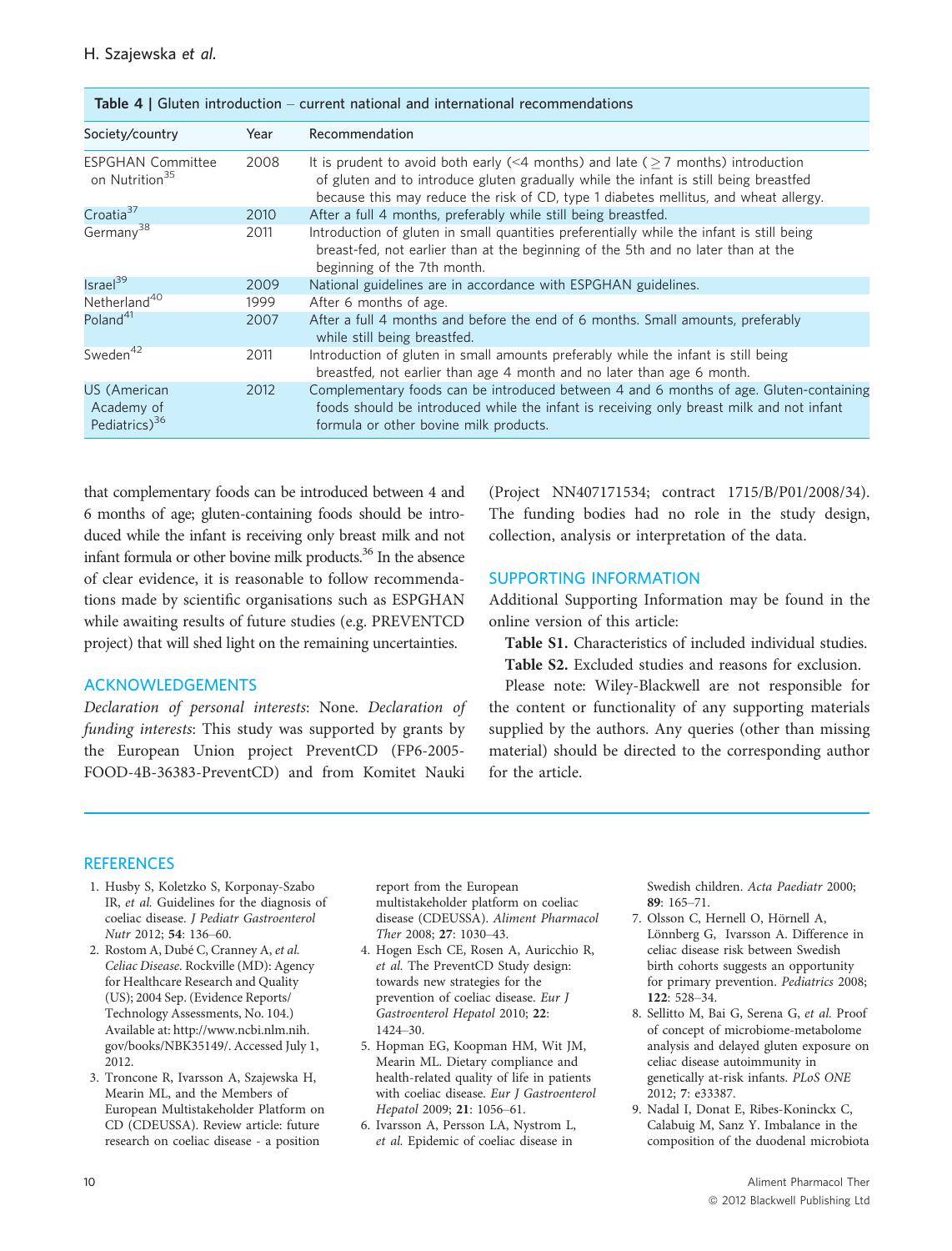| <b>Table 4</b> $\vert$ Gluten introduction – current national and international recommendations |      |                                                                                                                                                                                                                                                                     |  |  |  |
|-------------------------------------------------------------------------------------------------|------|---------------------------------------------------------------------------------------------------------------------------------------------------------------------------------------------------------------------------------------------------------------------|--|--|--|
| Society/country                                                                                 | Year | Recommendation                                                                                                                                                                                                                                                      |  |  |  |
| <b>ESPGHAN Committee</b><br>on Nutrition <sup>35</sup>                                          | 2008 | It is prudent to avoid both early (<4 months) and late ( $>7$ months) introduction<br>of gluten and to introduce gluten gradually while the infant is still being breastfed<br>because this may reduce the risk of CD, type 1 diabetes mellitus, and wheat allergy. |  |  |  |
| Croatia <sup>37</sup>                                                                           | 2010 | After a full 4 months, preferably while still being breastfed.                                                                                                                                                                                                      |  |  |  |
| Germany <sup>38</sup>                                                                           | 2011 | Introduction of gluten in small quantities preferentially while the infant is still being<br>breast-fed, not earlier than at the beginning of the 5th and no later than at the<br>beginning of the 7th month.                                                       |  |  |  |
| Israel <sup>39</sup>                                                                            | 2009 | National guidelines are in accordance with ESPGHAN guidelines.                                                                                                                                                                                                      |  |  |  |
| Netherland <sup>40</sup>                                                                        | 1999 | After 6 months of age.                                                                                                                                                                                                                                              |  |  |  |
| Poland <sup>41</sup>                                                                            | 2007 | After a full 4 months and before the end of 6 months. Small amounts, preferably<br>while still being breastfed.                                                                                                                                                     |  |  |  |
| Sweden <sup>42</sup>                                                                            | 2011 | Introduction of gluten in small amounts preferably while the infant is still being<br>breastfed, not earlier than age 4 month and no later than age 6 month.                                                                                                        |  |  |  |
| US (American<br>Academy of<br>Pediatrics) <sup>36</sup>                                         | 2012 | Complementary foods can be introduced between 4 and 6 months of age. Gluten-containing<br>foods should be introduced while the infant is receiving only breast milk and not infant<br>formula or other bovine milk products.                                        |  |  |  |

that complementary foods can be introduced between 4 and 6 months of age; gluten-containing foods should be introduced while the infant is receiving only breast milk and not infant formula or other bovine milk products.<sup>36</sup> In the absence of clear evidence, it is reasonable to follow recommendations made by scientific organisations such as ESPGHAN while awaiting results of future studies (e.g. PREVENTCD project) that will shed light on the remaining uncertainties.

# ACKNOWLEDGEMENTS

Declaration of personal interests: None. Declaration of funding interests: This study was supported by grants by the European Union project PreventCD (FP6-2005- FOOD-4B-36383-PreventCD) and from Komitet Nauki

(Project NN407171534; contract 1715/B/P01/2008/34). The funding bodies had no role in the study design, collection, analysis or interpretation of the data.

# SUPPORTING INFORMATION

Additional Supporting Information may be found in the online version of this article:

Table S1. Characteristics of included individual studies.

Table S2. Excluded studies and reasons for exclusion.

Please note: Wiley-Blackwell are not responsible for the content or functionality of any supporting materials supplied by the authors. Any queries (other than missing material) should be directed to the corresponding author for the article.

## **REFERENCES**

- 1. Husby S, Koletzko S, Korponay-Szabo IR, et al. Guidelines for the diagnosis of coeliac disease. J Pediatr Gastroenterol Nutr 2012; 54: 136–60.
- 2. Rostom A, Dubé C, Cranney A, et al. Celiac Disease. Rockville (MD): Agency for Healthcare Research and Quality (US); 2004 Sep. (Evidence Reports/ Technology Assessments, No. 104.) Available at: http://www.ncbi.nlm.nih. gov/books/NBK35149/. Accessed July 1, 2012.
- 3. Troncone R, Ivarsson A, Szajewska H, Mearin ML, and the Members of European Multistakeholder Platform on CD (CDEUSSA). Review article: future research on coeliac disease - a position

report from the European multistakeholder platform on coeliac disease (CDEUSSA). Aliment Pharmacol Ther 2008; 27: 1030–43.

- 4. Hogen Esch CE, Rosen A, Auricchio R, et al. The PreventCD Study design: towards new strategies for the prevention of coeliac disease. Eur J Gastroenterol Hepatol 2010; 22: 1424–30.
- 5. Hopman EG, Koopman HM, Wit JM, Mearin ML. Dietary compliance and health-related quality of life in patients with coeliac disease. Eur J Gastroenterol Hepatol 2009; 21: 1056–61.
- 6. Ivarsson A, Persson LA, Nystrom L, et al. Epidemic of coeliac disease in

Swedish children. Acta Paediatr 2000; 89: 165–71.

- 7. Olsson C, Hernell O, Hörnell A, Lönnberg G, Ivarsson A. Difference in celiac disease risk between Swedish birth cohorts suggests an opportunity for primary prevention. Pediatrics 2008; 122: 528–34.
- 8. Sellitto M, Bai G, Serena G, et al. Proof of concept of microbiome-metabolome analysis and delayed gluten exposure on celiac disease autoimmunity in genetically at-risk infants. PLoS ONE 2012; 7: e33387.
- 9. Nadal I, Donat E, Ribes-Koninckx C, Calabuig M, Sanz Y. Imbalance in the composition of the duodenal microbiota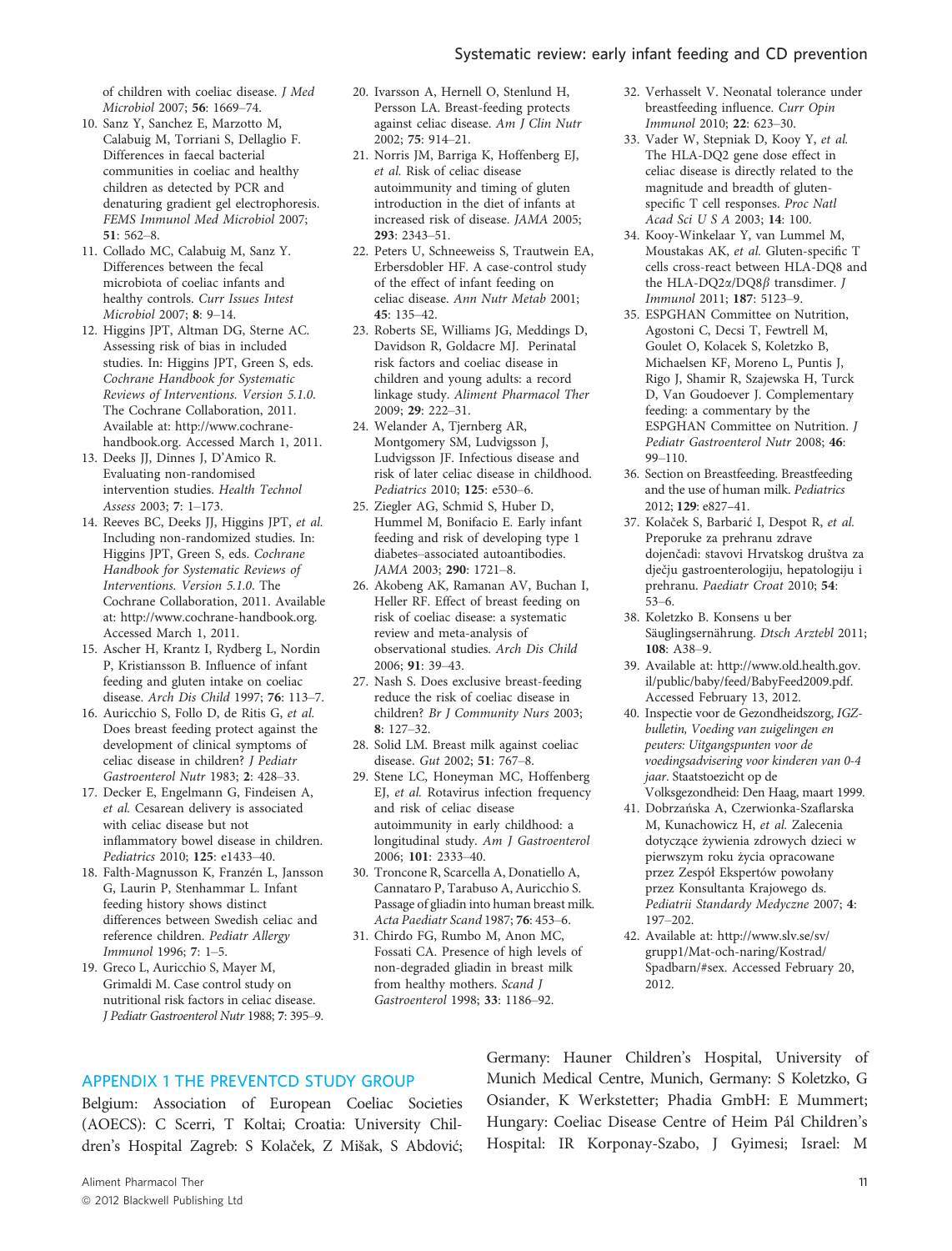of children with coeliac disease. J Med Microbiol 2007; 56: 1669–74.

- 10. Sanz Y, Sanchez E, Marzotto M, Calabuig M, Torriani S, Dellaglio F. Differences in faecal bacterial communities in coeliac and healthy children as detected by PCR and denaturing gradient gel electrophoresis. FEMS Immunol Med Microbiol 2007;  $51 \cdot 562 - 8$
- 11. Collado MC, Calabuig M, Sanz Y. Differences between the fecal microbiota of coeliac infants and healthy controls. Curr Issues Intest Microbiol 2007; 8: 9–14.
- 12. Higgins JPT, Altman DG, Sterne AC. Assessing risk of bias in included studies. In: Higgins JPT, Green S, eds. Cochrane Handbook for Systematic Reviews of Interventions. Version 5.1.0. The Cochrane Collaboration, 2011. Available at: http://www.cochranehandbook.org. Accessed March 1, 2011.
- 13. Deeks JJ, Dinnes J, D'Amico R. Evaluating non-randomised intervention studies. Health Technol Assess  $2003 \cdot 7 \cdot 1 - 173$ .
- 14. Reeves BC, Deeks JJ, Higgins JPT, et al. Including non-randomized studies. In: Higgins JPT, Green S, eds. Cochrane Handbook for Systematic Reviews of Interventions. Version 5.1.0. The Cochrane Collaboration, 2011. Available at: http://www.cochrane-handbook.org. Accessed March 1, 2011.
- 15. Ascher H, Krantz I, Rydberg L, Nordin P, Kristiansson B. Influence of infant feeding and gluten intake on coeliac disease. Arch Dis Child 1997; 76: 113–7.
- 16. Auricchio S, Follo D, de Ritis G, et al. Does breast feeding protect against the development of clinical symptoms of celiac disease in children? J Pediatr Gastroenterol Nutr 1983; 2: 428–33.
- 17. Decker E, Engelmann G, Findeisen A, et al. Cesarean delivery is associated with celiac disease but not inflammatory bowel disease in children. Pediatrics 2010; 125: e1433–40.
- 18. Falth-Magnusson K, Franzén L, Jansson G, Laurin P, Stenhammar L. Infant feeding history shows distinct differences between Swedish celiac and reference children. Pediatr Allergy Immunol 1996; 7: 1–5.
- 19. Greco L, Auricchio S, Mayer M, Grimaldi M. Case control study on nutritional risk factors in celiac disease. J Pediatr Gastroenterol Nutr 1988; 7: 395–9.
- 20. Ivarsson A, Hernell O, Stenlund H, Persson LA. Breast-feeding protects against celiac disease. Am J Clin Nutr 2002; 75: 914–21.
- 21. Norris JM, Barriga K, Hoffenberg EJ, et al. Risk of celiac disease autoimmunity and timing of gluten introduction in the diet of infants at increased risk of disease. JAMA 2005; 293: 2343–51.
- 22. Peters U, Schneeweiss S, Trautwein EA, Erbersdobler HF. A case-control study of the effect of infant feeding on celiac disease. Ann Nutr Metab 2001;  $45 \cdot 135 - 42$
- 23. Roberts SE, Williams JG, Meddings D, Davidson R, Goldacre MJ. Perinatal risk factors and coeliac disease in children and young adults: a record linkage study. Aliment Pharmacol Ther 2009; 29: 222–31.
- 24. Welander A, Tjernberg AR, Montgomery SM, Ludvigsson J, Ludvigsson JF. Infectious disease and risk of later celiac disease in childhood. Pediatrics 2010; 125: e530–6.
- 25. Ziegler AG, Schmid S, Huber D, Hummel M, Bonifacio E. Early infant feeding and risk of developing type 1 diabetes–associated autoantibodies. JAMA 2003; 290: 1721–8.
- 26. Akobeng AK, Ramanan AV, Buchan I, Heller RF. Effect of breast feeding on risk of coeliac disease: a systematic review and meta-analysis of observational studies. Arch Dis Child 2006; 91: 39–43.
- 27. Nash S. Does exclusive breast-feeding reduce the risk of coeliac disease in children? Br J Community Nurs 2003; 8: 127–32.
- 28. Solid LM. Breast milk against coeliac disease. Gut 2002; 51: 767–8.
- 29. Stene LC, Honeyman MC, Hoffenberg EJ, et al. Rotavirus infection frequency and risk of celiac disease autoimmunity in early childhood: a longitudinal study. Am J Gastroenterol 2006; 101: 2333–40.
- 30. Troncone R, Scarcella A, Donatiello A, Cannataro P, Tarabuso A, Auricchio S. Passage of gliadin into human breast milk. Acta Paediatr Scand 1987; 76: 453–6.
- 31. Chirdo FG, Rumbo M, Anon MC, Fossati CA. Presence of high levels of non-degraded gliadin in breast milk from healthy mothers. Scand J Gastroenterol 1998; 33: 1186–92.
- 32. Verhasselt V. Neonatal tolerance under breastfeeding influence. Curr Opin Immunol 2010; 22: 623–30.
- 33. Vader W, Stepniak D, Kooy Y, et al. The HLA-DQ2 gene dose effect in celiac disease is directly related to the magnitude and breadth of glutenspecific T cell responses. Proc Natl Acad Sci U S A 2003; 14: 100.
- 34. Kooy-Winkelaar Y, van Lummel M, Moustakas AK, et al. Gluten-specific T cells cross-react between HLA-DQ8 and the HLA-DQ2 $\alpha$ /DQ8 $\beta$  transdimer. J Immunol 2011; 187: 5123–9.
- 35. ESPGHAN Committee on Nutrition, Agostoni C, Decsi T, Fewtrell M, Goulet O, Kolacek S, Koletzko B, Michaelsen KF, Moreno L, Puntis J, Rigo J, Shamir R, Szajewska H, Turck D, Van Goudoever J. Complementary feeding: a commentary by the ESPGHAN Committee on Nutrition. J Pediatr Gastroenterol Nutr 2008; 46: 99–110.
- 36. Section on Breastfeeding. Breastfeeding and the use of human milk. Pediatrics 2012; 129: e827–41.
- 37. Kolaček S, Barbarić I, Despot R, et al. Preporuke za prehranu zdrave dojenčadi: stavovi Hrvatskog društva za dječju gastroenterologiju, hepatologiju i prehranu. Paediatr Croat 2010; 54: 53–6.
- 38. Koletzko B. Konsens u ber Säuglingsernährung. Dtsch Arztebl 2011; 108: A38–9.
- 39. Available at: http://www.old.health.gov. il/public/baby/feed/BabyFeed2009.pdf. Accessed February 13, 2012.
- 40. Inspectie voor de Gezondheidszorg, IGZbulletin, Voeding van zuigelingen en peuters: Uitgangspunten voor de voedingsadvisering voor kinderen van 0-4 jaar. Staatstoezicht op de Volksgezondheid: Den Haag, maart 1999.
- 41. Dobrzańska A, Czerwionka-Szaflarska M, Kunachowicz H, et al. Zalecenia dotyczące żywienia zdrowych dzieci w pierwszym roku życia opracowane przez Zespół Ekspertów powołany przez Konsultanta Krajowego ds. Pediatrii Standardy Medyczne 2007; 4: 197–202.
- 42. Available at: http://www.slv.se/sv/ grupp1/Mat-och-naring/Kostrad/ Spadbarn/#sex. Accessed February 20, 2012.

## APPENDIX 1 THE PREVENTCD STUDY GROUP

Belgium: Association of European Coeliac Societies (AOECS): C Scerri, T Koltai; Croatia: University Children's Hospital Zagreb: S Kolaček, Z Mišak, S Abdović; Germany: Hauner Children's Hospital, University of Munich Medical Centre, Munich, Germany: S Koletzko, G Osiander, K Werkstetter; Phadia GmbH: E Mummert; Hungary: Coeliac Disease Centre of Heim Pál Children's Hospital: IR Korponay-Szabo, J Gyimesi; Israel: M